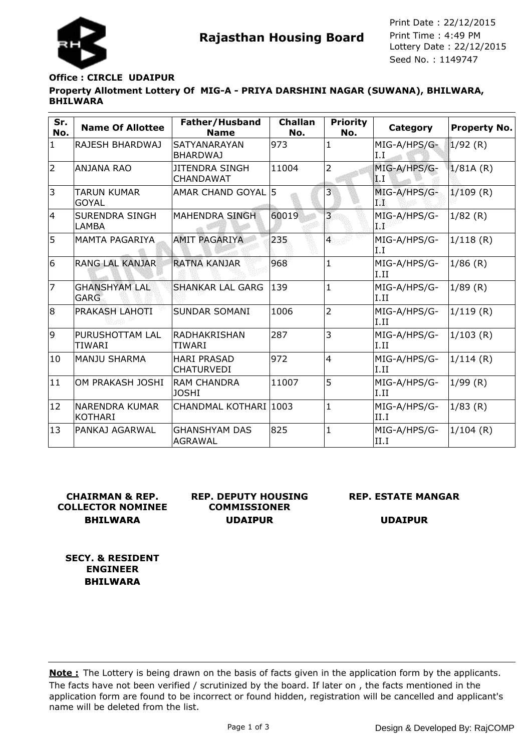

**Rajasthan Housing Board** Print Time : 4:49 PM<br>Lottery Date : 22/12/2015 Seed No. : 1149747 Print Date : 22/12/2015 Print Time : 4:49 PM

# **Property Allotment Lottery Of MIG-A - PRIYA DARSHINI NAGAR (SUWANA), BHILWARA, BHILWARA Office : CIRCLE UDAIPUR**

| Sr.<br>No.   | <b>Name Of Allottee</b>                 | Father/Husband<br><b>Name</b>           | <b>Challan</b><br>No. | <b>Priority</b><br>No.  | Category                  | Property No. |
|--------------|-----------------------------------------|-----------------------------------------|-----------------------|-------------------------|---------------------------|--------------|
| $\mathbf{1}$ | RAJESH BHARDWAJ                         | <b>SATYANARAYAN</b><br><b>BHARDWAJ</b>  | 973                   | $\mathbf{1}$            | MIG-A/HPS/G-<br>I.I       | 1/92(R)      |
| 2            | <b>ANJANA RAO</b>                       | JITENDRA SINGH<br><b>CHANDAWAT</b>      | 11004                 | $\overline{2}$          | MIG-A/HPS/G-<br><b>LI</b> | 1/81A(R)     |
| 3            | TARUN KUMAR<br><b>GOYAL</b>             | AMAR CHAND GOYAL 5                      |                       | 3                       | MIG-A/HPS/G-<br>TW.       | $1/109$ (R)  |
| 4            | <b>SURENDRA SINGH</b><br>LAMBA          | <b>MAHENDRA SINGH</b>                   | 60019                 | $\overline{\mathbf{3}}$ | MIG-A/HPS/G-<br>48        | 1/82(R)      |
| 5            | <b>MAMTA PAGARIYA</b>                   | <b>AMIT PAGARIYA</b>                    | 235                   | $\overline{4}$          | MIG-A/HPS/G-<br>I.I       | 1/118(R)     |
| 6            | <b>RANG LAL KANJAR</b>                  | <b>RATNA KANJAR</b>                     | 968                   | 1                       | MIG-A/HPS/G-<br>I.II      | $1/86$ (R)   |
| 17           | <b>GHANSHYAM LAL</b><br><b>GARG</b>     | <b>SHANKAR LAL GARG</b>                 | 139                   | $\mathbf{1}$            | MIG-A/HPS/G-<br>I.II      | 1/89(R)      |
| 8            | PRAKASH LAHOTI                          | SUNDAR SOMANI                           | 1006                  | $\overline{2}$          | MIG-A/HPS/G-<br>I.II      | 1/119(R)     |
| 9            | PURUSHOTTAM LAL<br>TIWARI               | IRADHAKRISHAN<br><b>TIWARI</b>          | 287                   | 3                       | MIG-A/HPS/G-<br>I.II      | 1/103(R)     |
| 10           | <b>MANJU SHARMA</b>                     | <b>HARI PRASAD</b><br><b>CHATURVEDI</b> | 972                   | $\overline{4}$          | MIG-A/HPS/G-<br>I.II      | 1/114(R)     |
| 11           | OM PRAKASH JOSHI                        | RAM CHANDRA<br><b>JOSHI</b>             | 11007                 | 5                       | MIG-A/HPS/G-<br>I.II      | 1/99(R)      |
| 12           | <b>NARENDRA KUMAR</b><br><b>KOTHARI</b> | CHANDMAL KOTHARI 1003                   |                       | 1                       | MIG-A/HPS/G-<br>II.I      | 1/83(R)      |
| 13           | PANKAJ AGARWAL                          | <b>GHANSHYAM DAS</b><br>AGRAWAL         | 825                   | 1                       | MIG-A/HPS/G-<br>II.I      | $1/104$ (R)  |

# **CHAIRMAN & REP. COLLECTOR NOMINEE BHILWARA**

**REP. DEPUTY HOUSING COMMISSIONER UDAIPUR**

#### **REP. ESTATE MANGAR**

**UDAIPUR**

**SECY. & RESIDENT ENGINEER BHILWARA**

The facts have not been verified / scrutinized by the board. If later on , the facts mentioned in the application form are found to be incorrect or found hidden, registration will be cancelled and applicant's name will be deleted from the list. **Note :** The Lottery is being drawn on the basis of facts given in the application form by the applicants.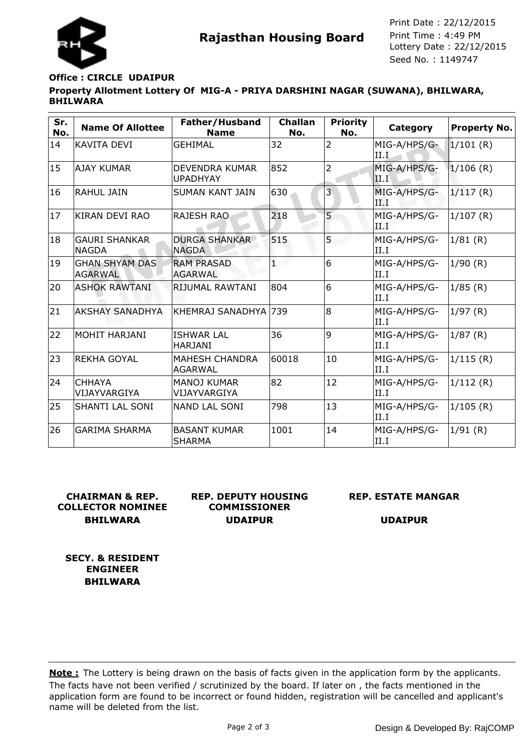

**Rajasthan Housing Board** Print Time : 4:49 PM<br>Lottery Date : 22/12/2015 Seed No. : 1149747 Print Date : 22/12/2015 Print Time : 4:49 PM

# **Property Allotment Lottery Of MIG-A - PRIYA DARSHINI NAGAR (SUWANA), BHILWARA, BHILWARA Office : CIRCLE UDAIPUR**

| Sr.<br>No. | <b>Name Of Allottee</b>                 | Father/Husband<br><b>Name</b>            | <b>Challan</b><br>No. | <b>Priority</b><br>No. | Category             | <b>Property No.</b> |
|------------|-----------------------------------------|------------------------------------------|-----------------------|------------------------|----------------------|---------------------|
| 14         | KAVITA DEVI                             | <b>GEHIMAL</b>                           | 32                    | $\overline{2}$         | MIG-A/HPS/G-<br>II.I | $1/101$ (R)         |
| 15         | AJAY KUMAR                              | <b>DEVENDRA KUMAR</b><br><b>UPADHYAY</b> | 852                   | $\overline{2}$         | MIG-A/HPS/G-<br>ШT   | $1/106$ (R)         |
| 16         | <b>RAHUL JAIN</b>                       | SUMAN KANT JAIN                          | 630                   | 3                      | MIG-A/HPS/G-<br>TÑ   | 1/117(R)            |
| 17         | KIRAN DEVI RAO                          | <b>RAJESH RAO</b>                        | 218                   | $\overline{5}$         | MIG-A/HPS/G-<br>d Pa | 1/107(R)            |
| 18         | <b>GAURI SHANKAR</b><br>INAGDA          | <b>DURGA SHANKAR</b><br><b>NAGDA</b>     | 515                   | 5.                     | MIG-A/HPS/G-<br>II.I | 1/81(R)             |
| 19         | <b>GHAN SHYAM DAS</b><br><b>AGARWAL</b> | <b>RAM PRASAD</b><br><b>AGARWAL</b>      | 1                     | 6                      | MIG-A/HPS/G-<br>II.I | 1/90(R)             |
| 20         | <b>ASHOK RAWTANI</b>                    | RIJUMAL RAWTANI                          | 804                   | 6                      | MIG-A/HPS/G-<br>II.I | 1/85(R)             |
| 21         | AKSHAY SANADHYA                         | KHEMRAJ SANADHYA 739                     |                       | l8                     | MIG-A/HPS/G-<br>II.I | 1/97(R)             |
| 22         | İMOHIT HARJANI                          | <b>ISHWAR LAL</b><br><b>HARJANI</b>      | 36                    | 9                      | MIG-A/HPS/G-<br>II.I | 1/87(R)             |
| 23         | <b>REKHA GOYAL</b>                      | <b>MAHESH CHANDRA</b><br><b>AGARWAL</b>  | 60018                 | 10                     | MIG-A/HPS/G-<br>II.I | 1/115(R)            |
| 24         | <b>CHHAYA</b><br>VIJAYVARGIYA           | <b>MANOJ KUMAR</b><br>VIJAYVARGIYA       | 82                    | 12                     | MIG-A/HPS/G-<br>II.I | 1/112(R)            |
| 25         | <b>SHANTI LAL SONI</b>                  | NAND LAL SONI                            | 798                   | 13                     | MIG-A/HPS/G-<br>II.I | 1/105(R)            |
| 26         | <b>GARIMA SHARMA</b>                    | <b>BASANT KUMAR</b><br><b>SHARMA</b>     | 1001                  | 14                     | MIG-A/HPS/G-<br>II.I | 1/91(R)             |

# **CHAIRMAN & REP. COLLECTOR NOMINEE BHILWARA**

**REP. DEPUTY HOUSING COMMISSIONER UDAIPUR**

# **REP. ESTATE MANGAR**

**UDAIPUR**

**SECY. & RESIDENT ENGINEER BHILWARA**

The facts have not been verified / scrutinized by the board. If later on , the facts mentioned in the application form are found to be incorrect or found hidden, registration will be cancelled and applicant's name will be deleted from the list. **Note :** The Lottery is being drawn on the basis of facts given in the application form by the applicants.